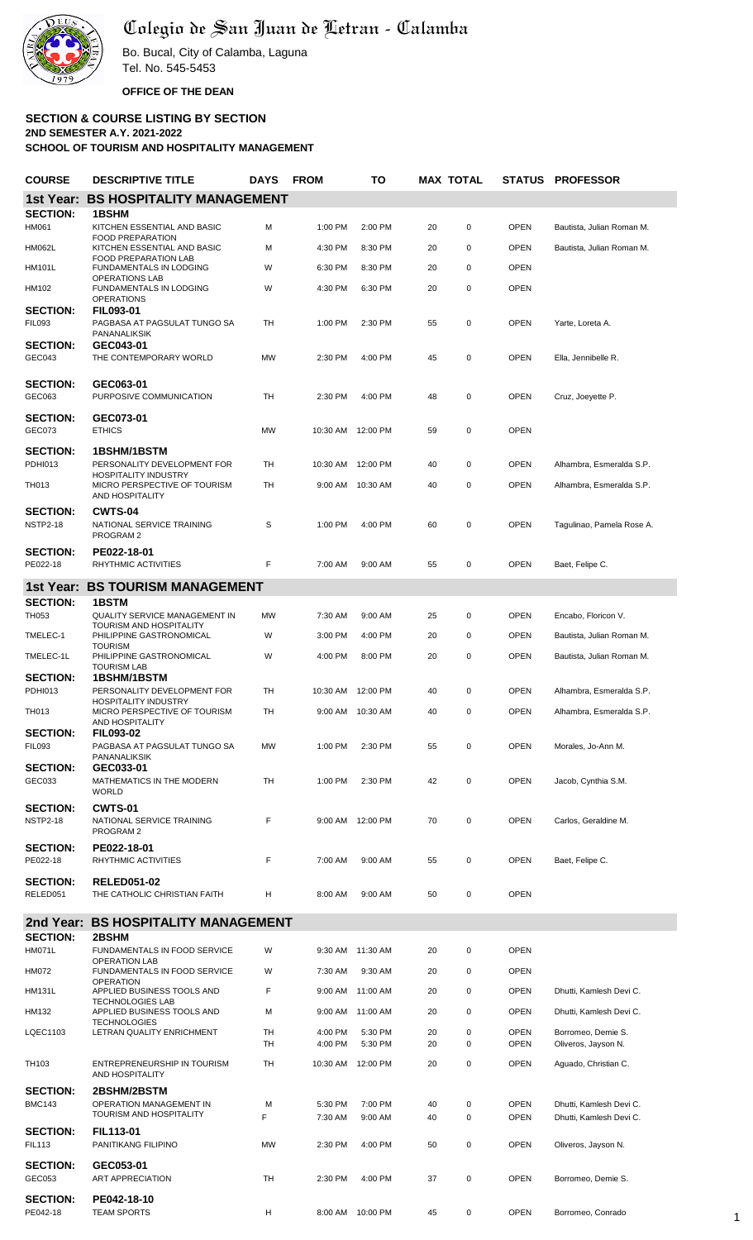

## Colegio de San Juan de Letran - Calamba

Bo. Bucal, City of Calamba, Laguna Tel. No. 545-5453 **OFFICE OF THE DEAN**

## **SECTION & COURSE LISTING BY SECTION 2ND SEMESTER A.Y. 2021-2022**

**SCHOOL OF TOURISM AND HOSPITALITY MANAGEMENT**

| <b>COURSE</b>                      | <b>DESCRIPTIVE TITLE</b>                                                       | DAYS FROM |                    | то                 |          | <b>MAX TOTAL</b> | STATUS                     | <b>PROFESSOR</b>                                   |
|------------------------------------|--------------------------------------------------------------------------------|-----------|--------------------|--------------------|----------|------------------|----------------------------|----------------------------------------------------|
| <b>1st Year:</b>                   | <b>BS HOSPITALITY MANAGEMENT</b>                                               |           |                    |                    |          |                  |                            |                                                    |
| <b>SECTION:</b>                    | <b>1BSHM</b>                                                                   |           |                    |                    |          |                  |                            |                                                    |
| HM061                              | KITCHEN ESSENTIAL AND BASIC<br><b>FOOD PREPARATION</b>                         | м         | 1:00 PM            | 2:00 PM            | 20       | $\mathbf 0$      | <b>OPEN</b>                | Bautista, Julian Roman M.                          |
| <b>HM062L</b>                      | KITCHEN ESSENTIAL AND BASIC<br>FOOD PREPARATION LAB                            | м         | 4:30 PM            | 8:30 PM            | 20       | $\mathbf 0$      | <b>OPEN</b>                | Bautista, Julian Roman M.                          |
| <b>HM101L</b>                      | <b>FUNDAMENTALS IN LODGING</b><br><b>OPERATIONS LAB</b>                        | W         | 6:30 PM            | 8:30 PM            | 20       | $\mathbf 0$      | <b>OPEN</b>                |                                                    |
| HM102                              | <b>FUNDAMENTALS IN LODGING</b><br><b>OPERATIONS</b>                            | W         | 4:30 PM            | 6:30 PM            | 20       | $\pmb{0}$        | <b>OPEN</b>                |                                                    |
| <b>SECTION:</b><br><b>FIL093</b>   | FIL093-01<br>PAGBASA AT PAGSULAT TUNGO SA<br>PANANALIKSIK                      | TН        | 1:00 PM            | 2:30 PM            | 55       | $\mathbf 0$      | <b>OPEN</b>                | Yarte, Loreta A.                                   |
| <b>SECTION:</b><br>GEC043          | GEC043-01<br>THE CONTEMPORARY WORLD                                            | <b>MW</b> | 2:30 PM            | 4:00 PM            | 45       | $\mathbf 0$      | <b>OPEN</b>                | Ella, Jennibelle R.                                |
| <b>SECTION:</b><br>GEC063          | GEC063-01<br>PURPOSIVE COMMUNICATION                                           | TH        | 2:30 PM            | 4:00 PM            | 48       | $\mathbf 0$      | <b>OPEN</b>                | Cruz, Joeyette P.                                  |
| <b>SECTION:</b><br>GEC073          | GEC073-01<br><b>ETHICS</b>                                                     | <b>MW</b> |                    | 10:30 AM 12:00 PM  | 59       | $\mathbf 0$      | <b>OPEN</b>                |                                                    |
| <b>SECTION:</b><br><b>PDHI013</b>  | <b>1BSHM/1BSTM</b><br>PERSONALITY DEVELOPMENT FOR                              | TH        | 10:30 AM           | 12:00 PM           | 40       | 0                | <b>OPEN</b>                | Alhambra, Esmeralda S.P.                           |
| TH013                              | <b>HOSPITALITY INDUSTRY</b><br>MICRO PERSPECTIVE OF TOURISM                    | TН        |                    | 9:00 AM 10:30 AM   | 40       | $\mathbf 0$      | <b>OPEN</b>                | Alhambra, Esmeralda S.P.                           |
|                                    | AND HOSPITALITY                                                                |           |                    |                    |          |                  |                            |                                                    |
| <b>SECTION:</b><br><b>NSTP2-18</b> | <b>CWTS-04</b><br>NATIONAL SERVICE TRAINING<br>PROGRAM 2                       | S         | 1:00 PM            | 4:00 PM            | 60       | 0                | <b>OPEN</b>                | Tagulinao, Pamela Rose A.                          |
| <b>SECTION:</b><br>PE022-18        | PE022-18-01<br>RHYTHMIC ACTIVITIES                                             | F         | 7:00 AM            | 9:00 AM            | 55       | $\mathbf 0$      | <b>OPEN</b>                | Baet, Felipe C.                                    |
| 1st Year:                          | <b>BS TOURISM MANAGEMENT</b>                                                   |           |                    |                    |          |                  |                            |                                                    |
| <b>SECTION:</b>                    | <b>1BSTM</b>                                                                   |           |                    |                    |          |                  |                            |                                                    |
| TH053                              | QUALITY SERVICE MANAGEMENT IN<br>TOURISM AND HOSPITALITY                       | <b>MW</b> | 7:30 AM            | 9:00 AM            | 25       | 0                | <b>OPEN</b>                | Encabo, Floricon V.                                |
| TMELEC-1                           | PHILIPPINE GASTRONOMICAL<br><b>TOURISM</b>                                     | W         | 3:00 PM            | 4:00 PM            | 20       | 0                | <b>OPEN</b>                | Bautista, Julian Roman M.                          |
| TMELEC-1L                          | PHILIPPINE GASTRONOMICAL<br><b>TOURISM LAB</b>                                 | W         | 4:00 PM            | 8:00 PM            | 20       | 0                | <b>OPEN</b>                | Bautista, Julian Roman M.                          |
| <b>SECTION:</b><br><b>PDHI013</b>  | <b>1BSHM/1BSTM</b><br>PERSONALITY DEVELOPMENT FOR                              | TH        |                    | 10:30 AM 12:00 PM  | 40       | 0                | <b>OPEN</b>                | Alhambra, Esmeralda S.P.                           |
| TH013                              | <b>HOSPITALITY INDUSTRY</b><br>MICRO PERSPECTIVE OF TOURISM<br>AND HOSPITALITY | TH        |                    | 9:00 AM 10:30 AM   | 40       | 0                | <b>OPEN</b>                | Alhambra, Esmeralda S.P.                           |
| <b>SECTION:</b><br><b>FIL093</b>   | FIL093-02<br>PAGBASA AT PAGSULAT TUNGO SA<br>PANANALIKSIK                      | <b>MW</b> | 1:00 PM            | 2:30 PM            | 55       | $\mathbf 0$      | <b>OPEN</b>                | Morales, Jo-Ann M.                                 |
| <b>SECTION:</b><br>GEC033          | GEC033-01<br>MATHEMATICS IN THE MODERN<br><b>WORLD</b>                         | TH        | 1:00 PM            | 2:30 PM            | 42       | $\mathbf 0$      | <b>OPEN</b>                | Jacob, Cynthia S.M.                                |
| <b>SECTION:</b>                    | <b>CWTS-01</b>                                                                 |           |                    |                    |          |                  |                            |                                                    |
| <b>NSTP2-18</b>                    | NATIONAL SERVICE TRAINING<br>PROGRAM 2                                         | F         |                    | 9:00 AM 12:00 PM   | 70       | $\pmb{0}$        | <b>OPEN</b>                | Carlos, Geraldine M.                               |
| <b>SECTION:</b><br>PE022-18        | PE022-18-01<br>RHYTHMIC ACTIVITIES                                             | F         | 7:00 AM            | 9:00 AM            | 55       | 0                | <b>OPEN</b>                | Baet, Felipe C.                                    |
| <b>SECTION:</b><br>RELED051        | <b>RELED051-02</b><br>THE CATHOLIC CHRISTIAN FAITH                             | Н         | 8:00 AM            | 9:00 AM            | 50       | $\mathbf 0$      | <b>OPEN</b>                |                                                    |
| 2nd Year:                          | <b>BS HOSPITALITY MANAGEMENT</b>                                               |           |                    |                    |          |                  |                            |                                                    |
| <b>SECTION:</b>                    | 2BSHM                                                                          |           |                    |                    |          |                  |                            |                                                    |
| HM071L                             | FUNDAMENTALS IN FOOD SERVICE<br><b>OPERATION LAB</b>                           | W         | 9:30 AM            | 11:30 AM           | 20       | $\mathbf 0$      | <b>OPEN</b><br><b>OPEN</b> |                                                    |
| HM072                              | FUNDAMENTALS IN FOOD SERVICE<br><b>OPERATION</b>                               | W         | 7:30 AM            | 9:30 AM            | 20       | 0                |                            |                                                    |
| <b>HM131L</b>                      | APPLIED BUSINESS TOOLS AND<br><b>TECHNOLOGIES LAB</b>                          | F         |                    | 9:00 AM 11:00 AM   | 20       | $\mathbf 0$      | <b>OPEN</b>                | Dhutti, Kamlesh Devi C.                            |
| HM132                              | APPLIED BUSINESS TOOLS AND<br><b>TECHNOLOGIES</b>                              | М         |                    | 9:00 AM 11:00 AM   | 20       | 0                | <b>OPEN</b>                | Dhutti, Kamlesh Devi C.                            |
| LQEC1103                           | LETRAN QUALITY ENRICHMENT                                                      | TH<br>TH  | 4:00 PM<br>4:00 PM | 5:30 PM<br>5:30 PM | 20<br>20 | 0<br>$\mathbf 0$ | <b>OPEN</b><br><b>OPEN</b> | Borromeo, Demie S.<br>Oliveros, Jayson N.          |
| TH <sub>103</sub>                  | ENTREPRENEURSHIP IN TOURISM<br>AND HOSPITALITY                                 | TН        |                    | 10:30 AM 12:00 PM  | 20       | 0                | <b>OPEN</b>                | Aguado, Christian C.                               |
| <b>SECTION:</b><br><b>BMC143</b>   | 2BSHM/2BSTM<br>OPERATION MANAGEMENT IN<br>TOURISM AND HOSPITALITY              | м<br>F    | 5:30 PM<br>7:30 AM | 7:00 PM<br>9:00 AM | 40<br>40 | 0<br>0           | <b>OPEN</b><br><b>OPEN</b> | Dhutti, Kamlesh Devi C.<br>Dhutti, Kamlesh Devi C. |
| <b>SECTION:</b>                    | <b>FIL113-01</b>                                                               |           |                    |                    |          |                  |                            |                                                    |
| <b>FIL113</b>                      | PANITIKANG FILIPINO                                                            | <b>MW</b> | 2:30 PM            | 4:00 PM            | 50       | $\pmb{0}$        | <b>OPEN</b>                | Oliveros, Jayson N.                                |
| <b>SECTION:</b><br>GEC053          | GEC053-01<br><b>ART APPRECIATION</b>                                           | TH        | 2:30 PM            | 4:00 PM            | 37       | 0                | <b>OPEN</b>                | Borromeo, Demie S.                                 |
| <b>SECTION:</b><br>PE042-18        | PE042-18-10<br><b>TEAM SPORTS</b>                                              | н         |                    | 8:00 AM 10:00 PM   | 45       | $\pmb{0}$        | <b>OPEN</b>                | Borromeo, Conrado                                  |
|                                    |                                                                                |           |                    |                    |          |                  |                            |                                                    |